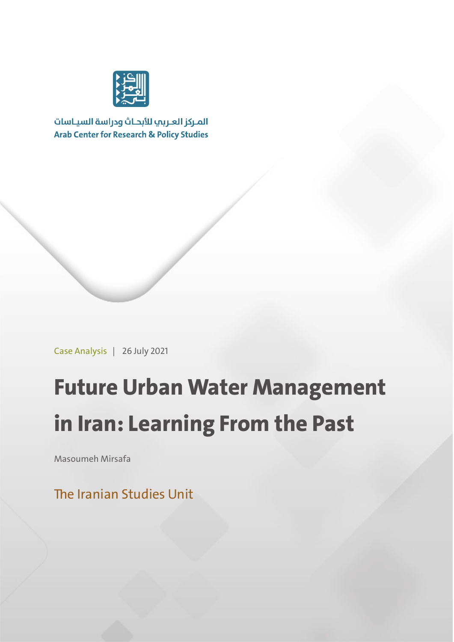

المركز العربب للأبحاث ودراسة السياسات **Arab Center for Research & Policy Studies** 

Case Analysis | 26 July 2021

# **Future Urban Water Management in Iran: Learning From the Past**

Masoumeh Mirsafa

The Iranian Studies Unit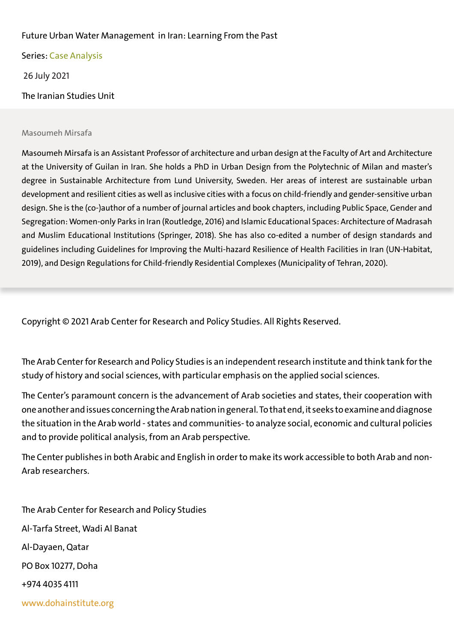### Future Urban Water Management in Iran: Learning From the Past

Series: Case Analysis 26 July 2021 The Iranian Studies Uni

#### Masoumeh Mirsafa

Masoumeh Mirsafa is an Assistant Professor of architecture and urban design at the Faculty of Art and Architecture at the University of Guilan in Iran. She holds a PhD in Urban Design from the Polytechnic of Milan and master's degree in Sustainable Architecture from Lund University, Sweden. Her areas of interest are sustainable urban development and resilient cities as well as inclusive cities with a focus on child-friendly and gender-sensitive urban design. She is the (co-)author of a number of journal articles and book chapters, including Public Space, Gender and Segregation: Women-only Parks in Iran (Routledge, 2016) and Islamic Educational Spaces: Architecture of Madrasah and Muslim Educational Institutions (Springer, 2018). She has also co-edited a number of design standards and guidelines including Guidelines for Improving the Multi-hazard Resilience of Health Facilities in Iran (UN-Habitat, 2019), and Design Regulations for Child-friendly Residential Complexes (Municipality of Tehran, 2020).

Copyright © 2021 Arab Center for Research and Policy Studies. All Rights Reserved.

The Arab Center for Research and Policy Studies is an independent research institute and think tank for the study of history and social sciences, with particular emphasis on the applied social sciences.

The Center's paramount concern is the advancement of Arab societies and states, their cooperation with one another and issues concerning the Arab nation in general. To that end, it seeks to examine and diagnose the situation in the Arab world - states and communities- to analyze social, economic and cultural policies and to provide political analysis, from an Arab perspective.

The Center publishes in both Arabic and English in order to make its work accessible to both Arab and non-Arab researchers.

The Arab Center for Research and Policy Studies Al-Tarfa Street, Wadi Al Banat Al-Dayaen, Qatar PO Box 10277, Doha +974 4035 4111 www.dohainstitute.org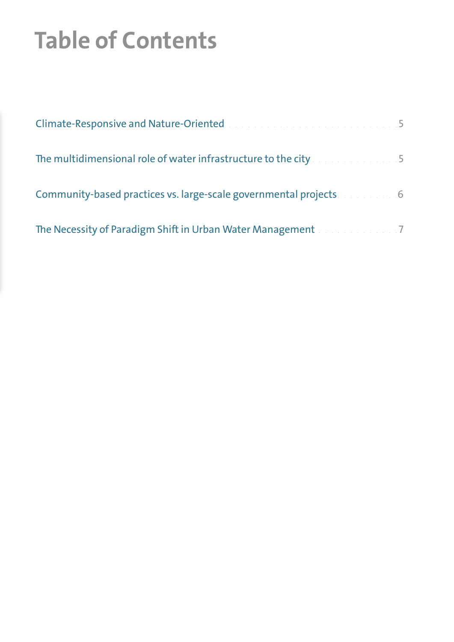# **Table of Contents**

| Climate-Responsive and Nature-Oriented Mature and Alexandre and Alexandre 19      |  |
|-----------------------------------------------------------------------------------|--|
| The multidimensional role of water infrastructure to the city                     |  |
| Community-based practices vs. large-scale governmental projects                   |  |
| The Necessity of Paradigm Shift in Urban Water Management Manuscript Manuscript 7 |  |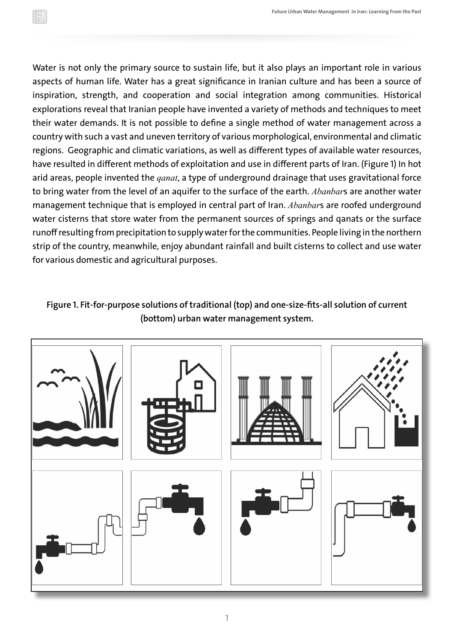Water is not only the primary source to sustain life, but it also plays an important role in various aspects of human life. Water has a great significance in Iranian culture and has been a source of inspiration, strength, and cooperation and social integration among communities. Historical explorations reveal that Iranian people have invented a variety of methods and techniques to meet their water demands. It is not possible to define a single method of water management across a country with such a vast and uneven territory of various morphological, environmental and climatic regions. Geographic and climatic variations, as well as different types of available water resources, have resulted in different methods of exploitation and use in different parts of Iran. (Figure 1) In hot arid areas, people invented the *qanat*, a type of underground drainage that uses gravitational force to bring water from the level of an aquifer to the surface of the earth. *Abanbar*s are another water management technique that is employed in central part of Iran. *Abanbar*s are roofed underground water cisterns that store water from the permanent sources of springs and qanats or the surface runoff resulting from precipitation to supply water for the communities. People living in the northern strip of the country, meanwhile, enjoy abundant rainfall and built cisterns to collect and use water for various domestic and agricultural purposes.

## **Figure 1. Fit-for-purpose solutions of traditional (top) and one-size-fits-all solution of current (bottom) urban water management system.**

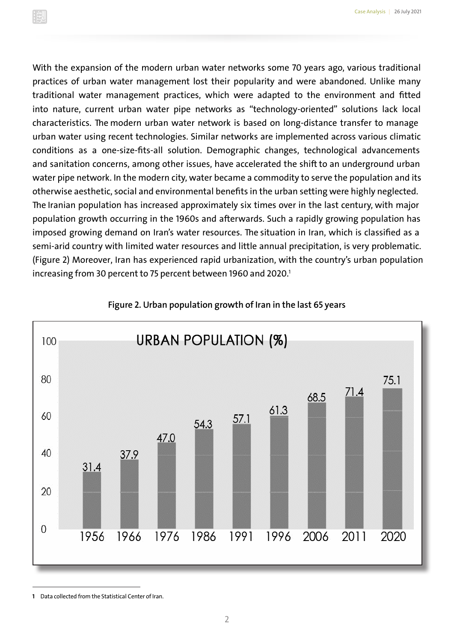With the expansion of the modern urban water networks some 70 years ago, various traditional practices of urban water management lost their popularity and were abandoned. Unlike many traditional water management practices, which were adapted to the environment and fitted into nature, current urban water pipe networks as "technology-oriented" solutions lack local characteristics. The modern urban water network is based on long-distance transfer to manage urban water using recent technologies. Similar networks are implemented across various climatic conditions as a one-size-fits-all solution. Demographic changes, technological advancements and sanitation concerns, among other issues, have accelerated the shift to an underground urban water pipe network. In the modern city, water became a commodity to serve the population and its otherwise aesthetic, social and environmental benefits in the urban setting were highly neglected. The Iranian population has increased approximately six times over in the last century, with major population growth occurring in the 1960s and afterwards. Such a rapidly growing population has imposed growing demand on Iran's water resources. The situation in Iran, which is classified as a semi-arid country with limited water resources and little annual precipitation, is very problematic. (Figure 2) Moreover, Iran has experienced rapid urbanization, with the country's urban population increasing from 30 percent to 75 percent between 1960 and 2020.<sup>1</sup>



#### **Figure 2. Urban population growth of Iran in the last 65 years**

**<sup>1</sup>** Data collected from the Statistical Center of Iran.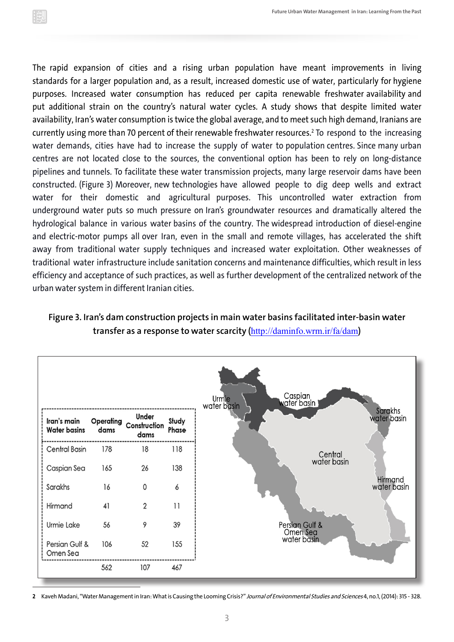The rapid expansion of cities and a rising urban population have meant improvements in living standards for a larger population and, as a result, increased domestic use of water, particularly for hygiene purposes. Increased water consumption has reduced per capita renewable freshwater availability and put additional strain on the country's natural water cycles. A study shows that despite limited water availability, Iran's water consumption is twice the global average, and to meet such high demand, Iranians are currently using more than 70 percent of their renewable freshwater resources.<sup>2</sup> To respond to the increasing water demands, cities have had to increase the supply of water to population centres. Since many urban centres are not located close to the sources, the conventional option has been to rely on long-distance pipelines and tunnels. To facilitate these water transmission projects, many large reservoir dams have been constructed. (Figure 3) Moreover, new technologies have allowed people to dig deep wells and extract water for their domestic and agricultural purposes. This uncontrolled water extraction from underground water puts so much pressure on Iran's groundwater resources and dramatically altered the hydrological balance in various water basins of the country. The widespread introduction of diesel-engine and electric-motor pumps all over Iran, even in the small and remote villages, has accelerated the shift away from traditional water supply techniques and increased water exploitation. Other weaknesses of traditional water infrastructure include sanitation concerns and maintenance difficulties, which result in less efficiency and acceptance of such practices, as well as further development of the centralized network of the urban water system in different Iranian cities.

### **Figure 3. Iran's dam construction projects in main water basins facilitated inter-basin water transfer as a response to water scarcity (**http://daminfo.wrm.ir/fa/dam**)**



**2** Kaveh Madani, "Water Management in Iran: What is Causing the Looming Crisis?" Journal of Environmental Studies and Sciences 4, no.1, (2014): 315 - 328.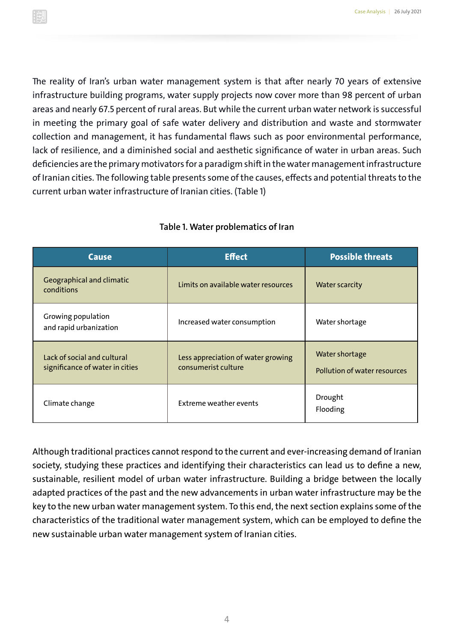The reality of Iran's urban water management system is that after nearly 70 years of extensive infrastructure building programs, water supply projects now cover more than 98 percent of urban areas and nearly 67.5 percent of rural areas. But while the current urban water network is successful in meeting the primary goal of safe water delivery and distribution and waste and stormwater collection and management, it has fundamental flaws such as poor environmental performance, lack of resilience, and a diminished social and aesthetic significance of water in urban areas. Such deficiencies are the primary motivators for a paradigm shift in the water management infrastructure of Iranian cities. The following table presents some of the causes, effects and potential threats to the current urban water infrastructure of Iranian cities. (Table 1)

| <b>Cause</b>                                                   | <b>Effect</b>                                             | <b>Possible threats</b>                        |
|----------------------------------------------------------------|-----------------------------------------------------------|------------------------------------------------|
| Geographical and climatic<br>conditions                        | Limits on available water resources                       | <b>Water scarcity</b>                          |
| Growing population<br>and rapid urbanization                   | Increased water consumption                               | Water shortage                                 |
| Lack of social and cultural<br>significance of water in cities | Less appreciation of water growing<br>consumerist culture | Water shortage<br>Pollution of water resources |
| Climate change                                                 | <b>Extreme weather events</b>                             | Drought<br>Flooding                            |

#### **Table 1. Water problematics of Iran**

Although traditional practices cannot respond to the current and ever-increasing demand of Iranian society, studying these practices and identifying their characteristics can lead us to define a new, sustainable, resilient model of urban water infrastructure. Building a bridge between the locally adapted practices of the past and the new advancements in urban water infrastructure may be the key to the new urban water management system. To this end, the next section explains some of the characteristics of the traditional water management system, which can be employed to define the new sustainable urban water management system of Iranian cities.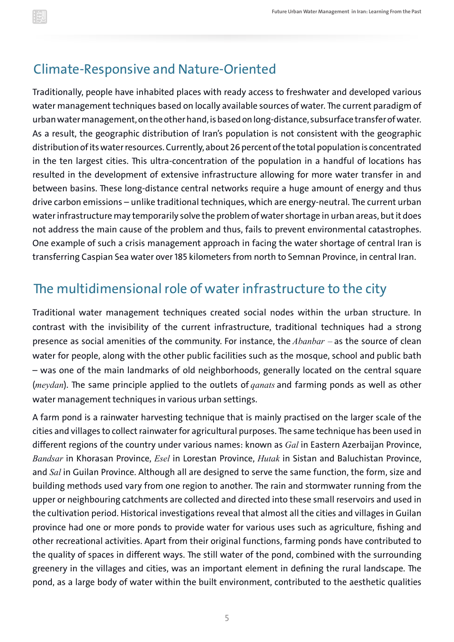## Climate-Responsive and Nature-Oriented

Traditionally, people have inhabited places with ready access to freshwater and developed various water management techniques based on locally available sources of water. The current paradigm of urban water management, on the other hand, is based on long-distance, subsurface transfer of water. As a result, the geographic distribution of Iran's population is not consistent with the geographic distribution of its water resources. Currently, about 26 percent of the total population is concentrated in the ten largest cities. This ultra-concentration of the population in a handful of locations has resulted in the development of extensive infrastructure allowing for more water transfer in and between basins. These long-distance central networks require a huge amount of energy and thus drive carbon emissions – unlike traditional techniques, which are energy-neutral. The current urban water infrastructure may temporarily solve the problem of water shortage in urban areas, but it does not address the main cause of the problem and thus, fails to prevent environmental catastrophes. One example of such a crisis management approach in facing the water shortage of central Iran is transferring Caspian Sea water over 185 kilometers from north to Semnan Province, in central Iran.

## The multidimensional role of water infrastructure to the city

Traditional water management techniques created social nodes within the urban structure. In contrast with the invisibility of the current infrastructure, traditional techniques had a strong presence as social amenities of the community. For instance, the *Abanbar –* as the source of clean water for people, along with the other public facilities such as the mosque, school and public bath – was one of the main landmarks of old neighborhoods, generally located on the central square (*meydan*). The same principle applied to the outlets of *qanats* and farming ponds as well as other water management techniques in various urban settings.

A farm pond is a rainwater harvesting technique that is mainly practised on the larger scale of the cities and villages to collect rainwater for agricultural purposes. The same technique has been used in different regions of the country under various names: known as *Gal* in Eastern Azerbaijan Province, *Bandsar* in Khorasan Province, *Esel* in Lorestan Province, *Hutak* in Sistan and Baluchistan Province, and *Sal* in Guilan Province. Although all are designed to serve the same function, the form, size and building methods used vary from one region to another. The rain and stormwater running from the upper or neighbouring catchments are collected and directed into these small reservoirs and used in the cultivation period. Historical investigations reveal that almost all the cities and villages in Guilan province had one or more ponds to provide water for various uses such as agriculture, fishing and other recreational activities. Apart from their original functions, farming ponds have contributed to the quality of spaces in different ways. The still water of the pond, combined with the surrounding greenery in the villages and cities, was an important element in defining the rural landscape. The pond, as a large body of water within the built environment, contributed to the aesthetic qualities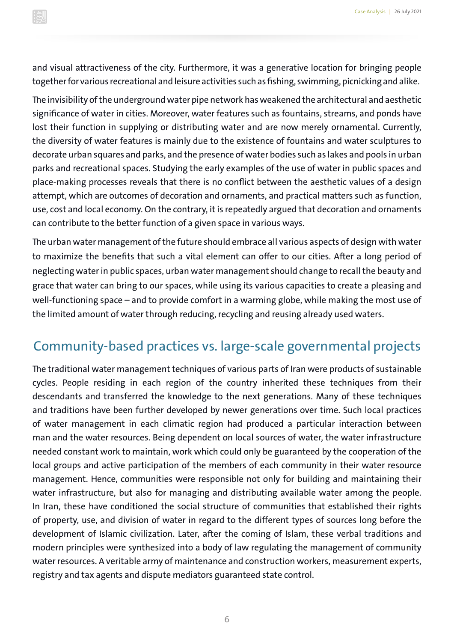and visual attractiveness of the city. Furthermore, it was a generative location for bringing people together for various recreational and leisure activities such as fishing, swimming, picnicking and alike.

The invisibility of the underground water pipe network has weakened the architectural and aesthetic significance of water in cities. Moreover, water features such as fountains, streams, and ponds have lost their function in supplying or distributing water and are now merely ornamental. Currently, the diversity of water features is mainly due to the existence of fountains and water sculptures to decorate urban squares and parks, and the presence of water bodies such as lakes and pools in urban parks and recreational spaces. Studying the early examples of the use of water in public spaces and place-making processes reveals that there is no conflict between the aesthetic values of a design attempt, which are outcomes of decoration and ornaments, and practical matters such as function, use, cost and local economy. On the contrary, it is repeatedly argued that decoration and ornaments can contribute to the better function of a given space in various ways.

The urban water management of the future should embrace all various aspects of design with water to maximize the benefits that such a vital element can offer to our cities. After a long period of neglecting water in public spaces, urban water management should change to recall the beauty and grace that water can bring to our spaces, while using its various capacities to create a pleasing and well-functioning space – and to provide comfort in a warming globe, while making the most use of the limited amount of water through reducing, recycling and reusing already used waters.

## Community-based practices vs. large-scale governmental projects

The traditional water management techniques of various parts of Iran were products of sustainable cycles. People residing in each region of the country inherited these techniques from their descendants and transferred the knowledge to the next generations. Many of these techniques and traditions have been further developed by newer generations over time. Such local practices of water management in each climatic region had produced a particular interaction between man and the water resources. Being dependent on local sources of water, the water infrastructure needed constant work to maintain, work which could only be guaranteed by the cooperation of the local groups and active participation of the members of each community in their water resource management. Hence, communities were responsible not only for building and maintaining their water infrastructure, but also for managing and distributing available water among the people. In Iran, these have conditioned the social structure of communities that established their rights of property, use, and division of water in regard to the different types of sources long before the development of Islamic civilization. Later, after the coming of Islam, these verbal traditions and modern principles were synthesized into a body of law regulating the management of community water resources. A veritable army of maintenance and construction workers, measurement experts, registry and tax agents and dispute mediators guaranteed state control.